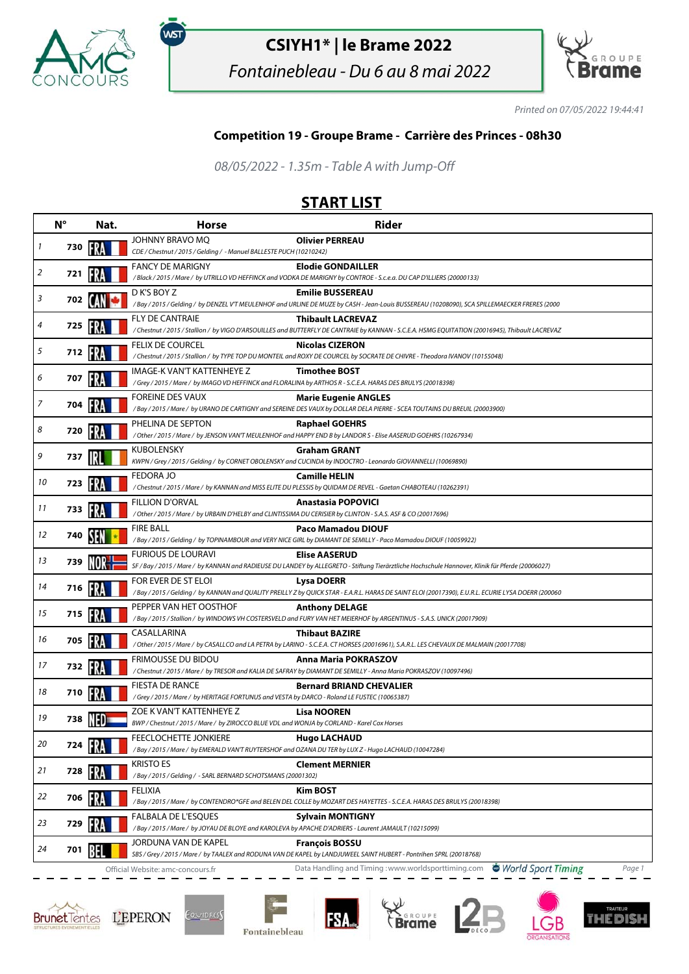

,<br>wsт

## **CSIYH1\* | le Brame 2022**

Fontainebleau - Du 6 au 8 mai 2022



Printed on 07/05/2022 19:44:41

## **Competition 19 - Groupe Brame - Carrière des Princes - 08h30**

08/05/2022 - 1.35m - Table A with Jump-Off

## **START LIST**

|    | $N^{\circ}$ | Nat.  | <b>Horse</b>                                                                                                                  | <b>Rider</b>                                                                                                                                                                 |
|----|-------------|-------|-------------------------------------------------------------------------------------------------------------------------------|------------------------------------------------------------------------------------------------------------------------------------------------------------------------------|
| 1  | 730         |       | JOHNNY BRAVO MQ<br>CDE / Chestnut / 2015 / Gelding / - Manuel BALLESTE PUCH (10210242)                                        | <b>Olivier PERREAU</b>                                                                                                                                                       |
| 2  | 721         |       | <b>FANCY DE MARIGNY</b>                                                                                                       | <b>Elodie GONDAILLER</b><br>/Black / 2015 / Mare / by UTRILLO VD HEFFINCK and VODKA DE MARIGNY by CONTROE - S.c.e.a. DU CAP D'ILLIERS (20000133)                             |
| 3  | 702         |       | D K'S BOY Z                                                                                                                   | <b>Emilie BUSSEREAU</b><br>/Bay / 2015 / Gelding / by DENZEL V'T MEULENHOF and URLINE DE MUZE by CASH - Jean-Louis BUSSEREAU (10208090), SCA SPILLEMAECKER FRERES (2000      |
| 4  | 725         |       | <b>FLY DE CANTRAIE</b>                                                                                                        | <b>Thibault LACREVAZ</b><br>/ Chestnut / 2015 / Stallion / by VIGO D'ARSOUILLES and BUTTERFLY DE CANTRAIE by KANNAN - S.C.E.A. HSMG EQUITATION (20016945), Thibault LACREVAZ |
| 5  | 712         | FRA   | <b>FELIX DE COURCEL</b>                                                                                                       | <b>Nicolas CIZERON</b><br>/ Chestnut / 2015 / Stallion / by TYPE TOP DU MONTEIL and ROXY DE COURCEL by SOCRATE DE CHIVRE - Theodora IVANOV (10155048)                        |
| 6  | 707         |       | IMAGE-K VAN'T KATTENHEYE Z                                                                                                    | <b>Timothee BOST</b><br>/Grey / 2015 / Mare / by IMAGO VD HEFFINCK and FLORALINA by ARTHOS R - S.C.E.A. HARAS DES BRULYS (20018398)                                          |
| 7  | 704         |       | <b>FOREINE DES VAUX</b>                                                                                                       | <b>Marie Eugenie ANGLES</b><br>/Bay / 2015 / Mare / by URANO DE CARTIGNY and SEREINE DES VAUX by DOLLAR DELA PIERRE - SCEA TOUTAINS DU BREUIL (20003900)                     |
| 8  | 720         |       | PHELINA DE SEPTON                                                                                                             | <b>Raphael GOEHRS</b><br>/Other/2015/Mare/ by JENSON VAN'T MEULENHOF and HAPPY END B by LANDOR S - Elise AASERUD GOEHRS (10267934)                                           |
| 9  | 737         |       | <b>KUBOLENSKY</b>                                                                                                             | <b>Graham GRANT</b><br>KWPN / Grey / 2015 / Gelding / by CORNET OBOLENSKY and CUCINDA by INDOCTRO - Leonardo GIOVANNELLI (10069890)                                          |
| 10 | 723         |       | FEDORA JO                                                                                                                     | <b>Camille HELIN</b><br>/ Chestnut / 2015 / Mare / by KANNAN and MISS ELITE DU PLESSIS by QUIDAM DE REVEL - Gaetan CHABOTEAU (10262391)                                      |
| 11 | 733         |       | <b>FILLION D'ORVAL</b>                                                                                                        | <b>Anastasia POPOVICI</b><br>/ Other / 2015 / Mare / by URBAIN D'HELBY and CLINTISSIMA DU CERISIER by CLINTON - S.A.S. ASF & CO (20017696)                                   |
| 12 | 740         |       | <b>FIRE BALL</b>                                                                                                              | Paco Mamadou DIOUF<br>/Bay / 2015 / Gelding / by TOPINAMBOUR and VERY NICE GIRL by DIAMANT DE SEMILLY - Paco Mamadou DIOUF (10059922)                                        |
| 13 | 739         |       | <b>FURIOUS DE LOURAVI</b>                                                                                                     | <b>Elise AASERUD</b><br>SF / Bay / 2015 / Mare / by KANNAN and RADIEUSE DU LANDEY by ALLEGRETO - Stiftung Tierärztliche Hochschule Hannover, Klinik für Pferde (20006027)    |
| 14 | 716         | - 137 | FOR EVER DE ST ELOI                                                                                                           | <b>Lysa DOERR</b><br>/Bay/2015/Gelding/by KANNAN and QUALITY PREILLY Z by QUICK STAR - E.A.R.L. HARAS DE SAINT ELOI (20017390), E.U.R.L. ECURIE LYSA DOERR (200060           |
| 15 | 715         |       | PEPPER VAN HET OOSTHOF                                                                                                        | <b>Anthony DELAGE</b><br>/Bay / 2015 / Stallion / by WINDOWS VH COSTERSVELD and FURY VAN HET MEIERHOF by ARGENTINUS - S.A.S. UNICK (20017909)                                |
| 16 | 705         |       | CASALLARINA                                                                                                                   | <b>Thibaut BAZIRE</b><br>/ Other / 2015 / Mare / by CASALLCO and LA PETRA by LARINO - S.C.E.A. CT HORSES (20016961), S.A.R.L. LES CHEVAUX DE MALMAIN (20017708)              |
| 17 | 732         |       | <b>FRIMOUSSE DU BIDOU</b>                                                                                                     | Anna Maria POKRASZOV<br>/ Chestnut / 2015 / Mare / by TRESOR and KALIA DE SAFRAY by DIAMANT DE SEMILLY - Anna Maria POKRASZOV (10097496)                                     |
| 18 | 710         |       | <b>FIESTA DE RANCE</b><br>/Grey / 2015 / Mare / by HERITAGE FORTUNUS and VESTA by DARCO - Roland LE FUSTEC (10065387)         | <b>Bernard BRIAND CHEVALIER</b>                                                                                                                                              |
| 19 | 738         |       | ZOE K VAN'T KATTENHEYE Z<br>BWP / Chestnut / 2015 / Mare / by ZIROCCO BLUE VDL and WONJA by CORLAND - Karel Cox Horses        | <b>Lisa NOOREN</b>                                                                                                                                                           |
| 20 | 724         |       | FEECLOCHETTE JONKIERE<br>/Bay / 2015 / Mare / by EMERALD VAN'T RUYTERSHOF and OZANA DU TER by LUX Z - Hugo LACHAUD (10047284) | <b>Hugo LACHAUD</b>                                                                                                                                                          |
| 21 | 728         |       | <b>KRISTO ES</b><br>/Bay / 2015 / Gelding / - SARL BERNARD SCHOTSMANS (20001302)                                              | <b>Clement MERNIER</b>                                                                                                                                                       |
| 22 | 706         |       | <b>FELIXIA</b>                                                                                                                | <b>Kim BOST</b><br>/Bay / 2015 / Mare / by CONTENDRO*GFE and BELEN DEL COLLE by MOZART DES HAYETTES - S.C.E.A. HARAS DES BRULYS (20018398)                                   |
| 23 | 729         |       | FALBALA DE L'ESQUES<br>/Bay / 2015 / Mare / by JOYAU DE BLOYE and KAROLEVA by APACHE D'ADRIERS - Laurent JAMAULT (10215099)   | <b>Sylvain MONTIGNY</b>                                                                                                                                                      |
| 24 | 701         |       | JORDUNA VAN DE KAPEL                                                                                                          | <b>François BOSSU</b><br>SBS / Grey / 2015 / Mare / by TAALEX and RODUNA VAN DE KAPEL by LANDJUWEEL SAINT HUBERT - Pontrihen SPRL (20018768)                                 |
|    |             |       | Official Website: amc-concours.fr                                                                                             | World Sport Timing<br>Data Handling and Timing: www.worldsporttiming.com<br>Page 1                                                                                           |







**FSA**